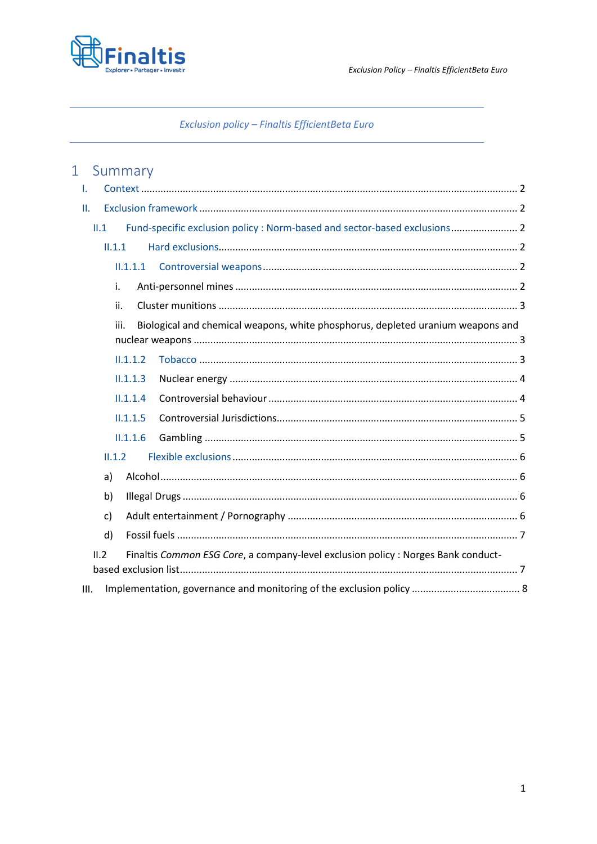

# Exclusion policy - Finaltis EfficientBeta Euro

# 1 Summary

| T.  |                                                                                         |                                                                                   |  |  |
|-----|-----------------------------------------------------------------------------------------|-----------------------------------------------------------------------------------|--|--|
| Π.  |                                                                                         |                                                                                   |  |  |
|     | Fund-specific exclusion policy : Norm-based and sector-based exclusions 2<br>II.1       |                                                                                   |  |  |
|     | II.1.1                                                                                  |                                                                                   |  |  |
|     |                                                                                         | $11.1.1$ .1                                                                       |  |  |
| i.  |                                                                                         |                                                                                   |  |  |
| ii. |                                                                                         |                                                                                   |  |  |
|     | Biological and chemical weapons, white phosphorus, depleted uranium weapons and<br>iii. |                                                                                   |  |  |
|     |                                                                                         |                                                                                   |  |  |
|     |                                                                                         | II.1.1.2                                                                          |  |  |
|     |                                                                                         | II.1.1.3                                                                          |  |  |
|     |                                                                                         | II.1.1.4                                                                          |  |  |
|     |                                                                                         | II.1.1.5                                                                          |  |  |
|     | II.1.1.6                                                                                |                                                                                   |  |  |
|     | II.1.2                                                                                  |                                                                                   |  |  |
|     | a)                                                                                      |                                                                                   |  |  |
| b)  |                                                                                         |                                                                                   |  |  |
|     | c)                                                                                      |                                                                                   |  |  |
|     | d)                                                                                      |                                                                                   |  |  |
|     | II.2                                                                                    | Finaltis Common ESG Core, a company-level exclusion policy : Norges Bank conduct- |  |  |
|     |                                                                                         |                                                                                   |  |  |
| Ш.  |                                                                                         |                                                                                   |  |  |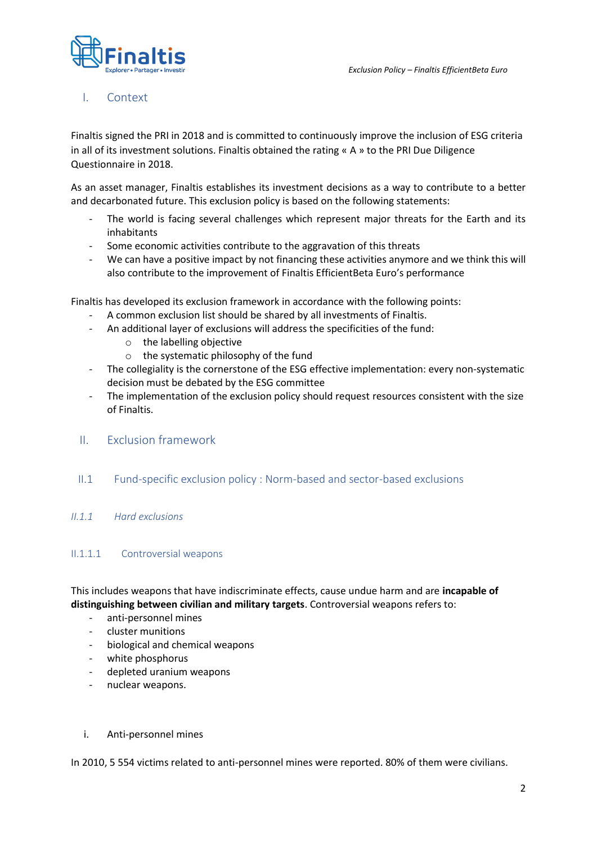

# <span id="page-1-0"></span>I. Context

Finaltis signed the PRI in 2018 and is committed to continuously improve the inclusion of ESG criteria in all of its investment solutions. Finaltis obtained the rating « A » to the PRI Due Diligence Questionnaire in 2018.

As an asset manager, Finaltis establishes its investment decisions as a way to contribute to a better and decarbonated future. This exclusion policy is based on the following statements:

- The world is facing several challenges which represent major threats for the Earth and its inhabitants
- Some economic activities contribute to the aggravation of this threats
- We can have a positive impact by not financing these activities anymore and we think this will also contribute to the improvement of Finaltis EfficientBeta Euro's performance

Finaltis has developed its exclusion framework in accordance with the following points:

- A common exclusion list should be shared by all investments of Finaltis.
- An additional layer of exclusions will address the specificities of the fund:
	- o the labelling objective
	- o the systematic philosophy of the fund
- The collegiality is the cornerstone of the ESG effective implementation: every non-systematic decision must be debated by the ESG committee
- The implementation of the exclusion policy should request resources consistent with the size of Finaltis.
- <span id="page-1-1"></span>II. Exclusion framework
- <span id="page-1-2"></span>II.1 Fund-specific exclusion policy : Norm-based and sector-based exclusions

#### <span id="page-1-3"></span>*II.1.1 Hard exclusions*

#### <span id="page-1-4"></span>II.1.1.1 Controversial weapons

This includes weapons that have indiscriminate effects, cause undue harm and are **incapable of distinguishing between civilian and military targets**. Controversial weapons refers to:

- anti-personnel mines
- cluster munitions
- biological and chemical weapons
- white phosphorus
- depleted uranium weapons
- nuclear weapons.
- <span id="page-1-5"></span>i. Anti-personnel mines

In 2010, 5 554 victims related to anti-personnel mines were reported. 80% of them were civilians.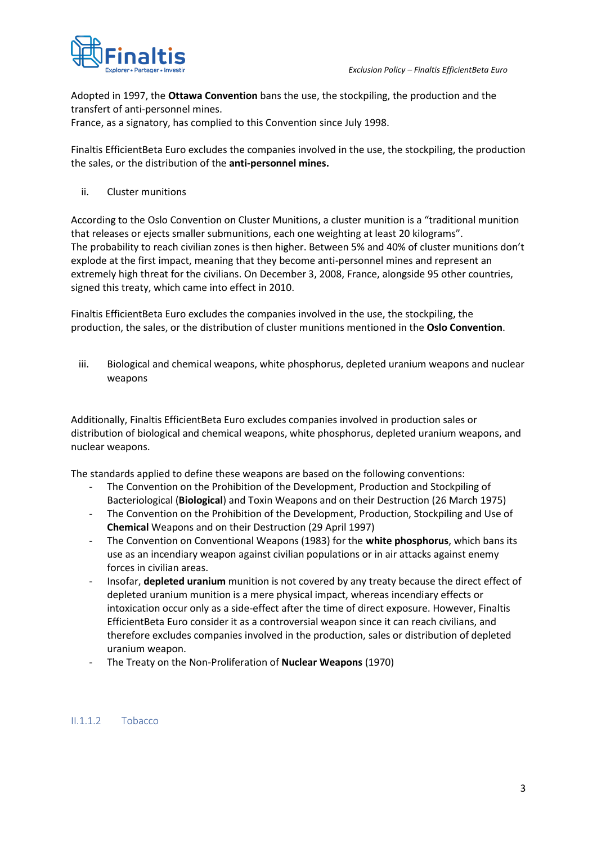

Adopted in 1997, the **Ottawa Convention** bans the use, the stockpiling, the production and the transfert of anti-personnel mines.

France, as a signatory, has complied to this Convention since July 1998.

Finaltis EfficientBeta Euro excludes the companies involved in the use, the stockpiling, the production the sales, or the distribution of the **anti-personnel mines.** 

<span id="page-2-0"></span>ii. Cluster munitions

According to the Oslo Convention on Cluster Munitions, a cluster munition is a "traditional munition that releases or ejects smaller submunitions, each one weighting at least 20 kilograms". The probability to reach civilian zones is then higher. Between 5% and 40% of cluster munitions don't explode at the first impact, meaning that they become anti-personnel mines and represent an extremely high threat for the civilians. On December 3, 2008, France, alongside 95 other countries, signed this treaty, which came into effect in 2010.

Finaltis EfficientBeta Euro excludes the companies involved in the use, the stockpiling, the production, the sales, or the distribution of cluster munitions mentioned in the **Oslo Convention**.

<span id="page-2-1"></span>iii. Biological and chemical weapons, white phosphorus, depleted uranium weapons and nuclear weapons

Additionally, Finaltis EfficientBeta Euro excludes companies involved in production sales or distribution of biological and chemical weapons, white phosphorus, depleted uranium weapons, and nuclear weapons.

The standards applied to define these weapons are based on the following conventions:

- The Convention on the Prohibition of the Development, Production and Stockpiling of Bacteriological (**Biological**) and Toxin Weapons and on their Destruction (26 March 1975)
- The Convention on the Prohibition of the Development, Production, Stockpiling and Use of **Chemical** Weapons and on their Destruction (29 April 1997)
- The Convention on Conventional Weapons (1983) for the **white phosphorus**, which bans its use as an incendiary weapon against civilian populations or in air attacks against enemy forces in civilian areas.
- Insofar, **depleted uranium** munition is not covered by any treaty because the direct effect of depleted uranium munition is a mere physical impact, whereas incendiary effects or intoxication occur only as a side-effect after the time of direct exposure. However, Finaltis EfficientBeta Euro consider it as a controversial weapon since it can reach civilians, and therefore excludes companies involved in the production, sales or distribution of depleted uranium weapon.
- The Treaty on the Non-Proliferation of **Nuclear Weapons** (1970)

#### <span id="page-2-2"></span>II.1.1.2 Tobacco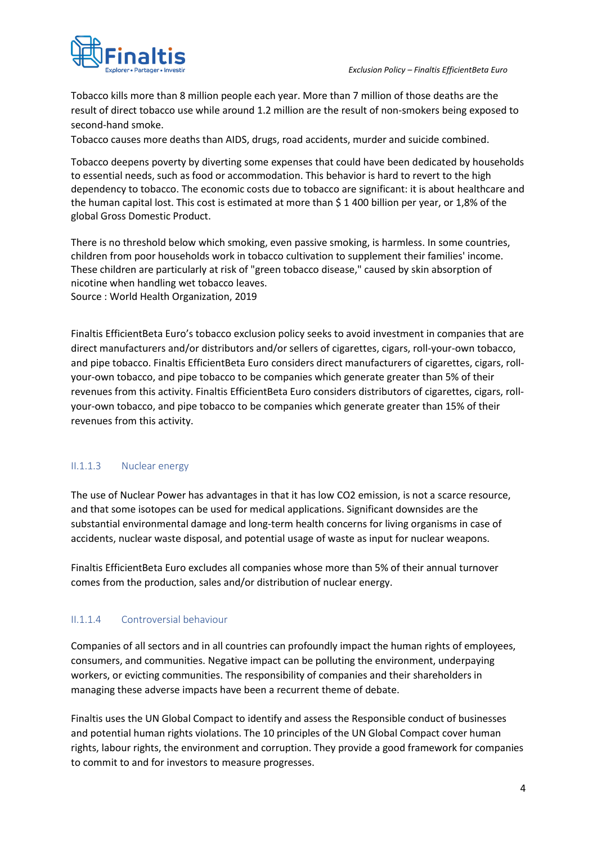



Tobacco kills more than 8 million people each year. More than 7 million of those deaths are the result of direct tobacco use while around 1.2 million are the result of non-smokers being exposed to second-hand smoke.

Tobacco causes more deaths than AIDS, drugs, road accidents, murder and suicide combined.

Tobacco deepens poverty by diverting some expenses that could have been dedicated by households to essential needs, such as food or accommodation. This behavior is hard to revert to the high dependency to tobacco. The economic costs due to tobacco are significant: it is about healthcare and the human capital lost. This cost is estimated at more than \$ 1 400 billion per year, or 1,8% of the global Gross Domestic Product.

There is no threshold below which smoking, even passive smoking, is harmless. In some countries, children from poor households work in tobacco cultivation to supplement their families' income. These children are particularly at risk of "green tobacco disease," caused by skin absorption of nicotine when handling wet tobacco leaves. Source : World Health Organization, 2019

Finaltis EfficientBeta Euro's tobacco exclusion policy seeks to avoid investment in companies that are direct manufacturers and/or distributors and/or sellers of cigarettes, cigars, roll-your-own tobacco, and pipe tobacco. Finaltis EfficientBeta Euro considers direct manufacturers of cigarettes, cigars, rollyour-own tobacco, and pipe tobacco to be companies which generate greater than 5% of their revenues from this activity. Finaltis EfficientBeta Euro considers distributors of cigarettes, cigars, rollyour-own tobacco, and pipe tobacco to be companies which generate greater than 15% of their revenues from this activity.

### <span id="page-3-0"></span>II.1.1.3 Nuclear energy

The use of Nuclear Power has advantages in that it has low CO2 emission, is not a scarce resource, and that some isotopes can be used for medical applications. Significant downsides are the substantial environmental damage and long-term health concerns for living organisms in case of accidents, nuclear waste disposal, and potential usage of waste as input for nuclear weapons.

Finaltis EfficientBeta Euro excludes all companies whose more than 5% of their annual turnover comes from the production, sales and/or distribution of nuclear energy.

### <span id="page-3-1"></span>II.1.1.4 Controversial behaviour

Companies of all sectors and in all countries can profoundly impact the human rights of employees, consumers, and communities. Negative impact can be polluting the environment, underpaying workers, or evicting communities. The responsibility of companies and their shareholders in managing these adverse impacts have been a recurrent theme of debate.

Finaltis uses the UN Global Compact to identify and assess the Responsible conduct of businesses and potential human rights violations. The 10 principles of the UN Global Compact cover human rights, labour rights, the environment and corruption. They provide a good framework for companies to commit to and for investors to measure progresses.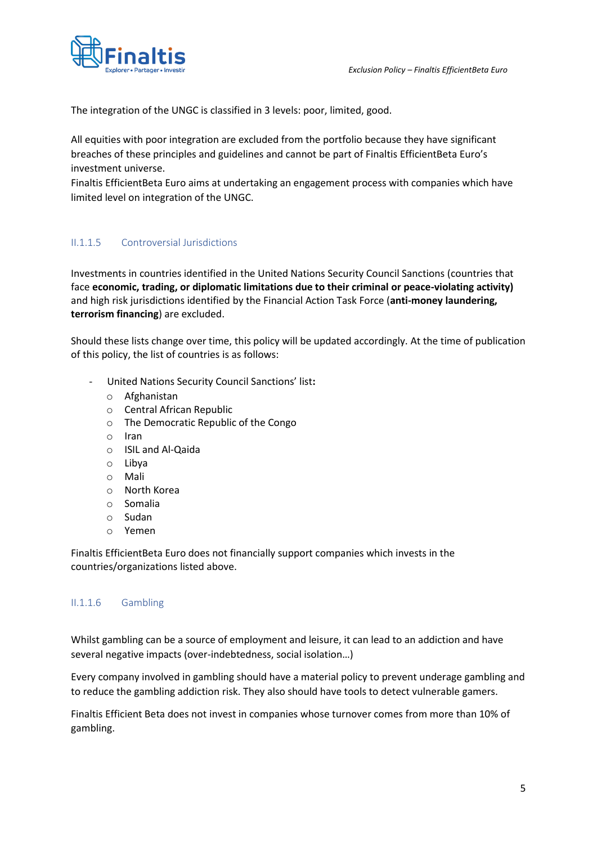

The integration of the UNGC is classified in 3 levels: poor, limited, good.

All equities with poor integration are excluded from the portfolio because they have significant breaches of these principles and guidelines and cannot be part of Finaltis EfficientBeta Euro's investment universe.

Finaltis EfficientBeta Euro aims at undertaking an engagement process with companies which have limited level on integration of the UNGC.

# <span id="page-4-0"></span>II.1.1.5 Controversial Jurisdictions

Investments in countries identified in the United Nations Security Council Sanctions (countries that face **economic, trading, or diplomatic limitations due to their criminal or peace-violating activity)**  and high risk jurisdictions identified by the Financial Action Task Force (**anti-money laundering, terrorism financing**) are excluded.

Should these lists change over time, this policy will be updated accordingly. At the time of publication of this policy, the list of countries is as follows:

- United Nations Security Council Sanctions' list**:**
	- o Afghanistan
	- o Central African Republic
	- o The Democratic Republic of the Congo
	- o Iran
	- o ISIL and Al-Qaida
	- o Libya
	- o Mali
	- o North Korea
	- o Somalia
	- o Sudan
	- o Yemen

Finaltis EfficientBeta Euro does not financially support companies which invests in the countries/organizations listed above.

#### <span id="page-4-1"></span>II.1.1.6 Gambling

Whilst gambling can be a source of employment and leisure, it can lead to an addiction and have several negative impacts (over-indebtedness, social isolation…)

Every company involved in gambling should have a material policy to prevent underage gambling and to reduce the gambling addiction risk. They also should have tools to detect vulnerable gamers.

Finaltis Efficient Beta does not invest in companies whose turnover comes from more than 10% of gambling.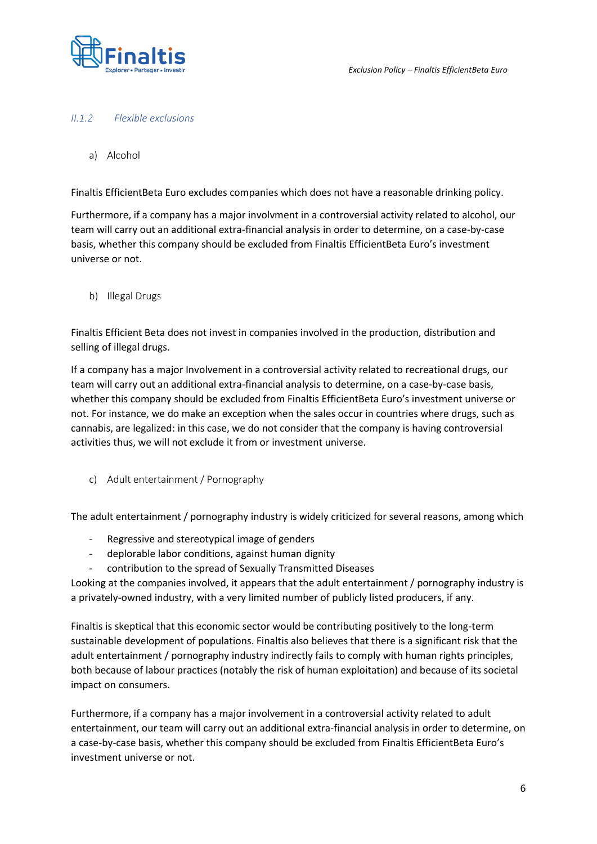

#### <span id="page-5-0"></span>*II.1.2 Flexible exclusions*

<span id="page-5-1"></span>a) Alcohol

Finaltis EfficientBeta Euro excludes companies which does not have a reasonable drinking policy.

Furthermore, if a company has a major involvment in a controversial activity related to alcohol, our team will carry out an additional extra-financial analysis in order to determine, on a case-by-case basis, whether this company should be excluded from Finaltis EfficientBeta Euro's investment universe or not.

<span id="page-5-2"></span>b) Illegal Drugs

Finaltis Efficient Beta does not invest in companies involved in the production, distribution and selling of illegal drugs.

If a company has a major Involvement in a controversial activity related to recreational drugs, our team will carry out an additional extra-financial analysis to determine, on a case-by-case basis, whether this company should be excluded from Finaltis EfficientBeta Euro's investment universe or not. For instance, we do make an exception when the sales occur in countries where drugs, such as cannabis, are legalized: in this case, we do not consider that the company is having controversial activities thus, we will not exclude it from or investment universe.

<span id="page-5-3"></span>c) Adult entertainment / Pornography

The adult entertainment / pornography industry is widely criticized for several reasons, among which

- Regressive and stereotypical image of genders
- deplorable labor conditions, against human dignity
- contribution to the spread of Sexually Transmitted Diseases

Looking at the companies involved, it appears that the adult entertainment / pornography industry is a privately-owned industry, with a very limited number of publicly listed producers, if any.

Finaltis is skeptical that this economic sector would be contributing positively to the long-term sustainable development of populations. Finaltis also believes that there is a significant risk that the adult entertainment / pornography industry indirectly fails to comply with human rights principles, both because of labour practices (notably the risk of human exploitation) and because of its societal impact on consumers.

Furthermore, if a company has a major involvement in a controversial activity related to adult entertainment, our team will carry out an additional extra-financial analysis in order to determine, on a case-by-case basis, whether this company should be excluded from Finaltis EfficientBeta Euro's investment universe or not.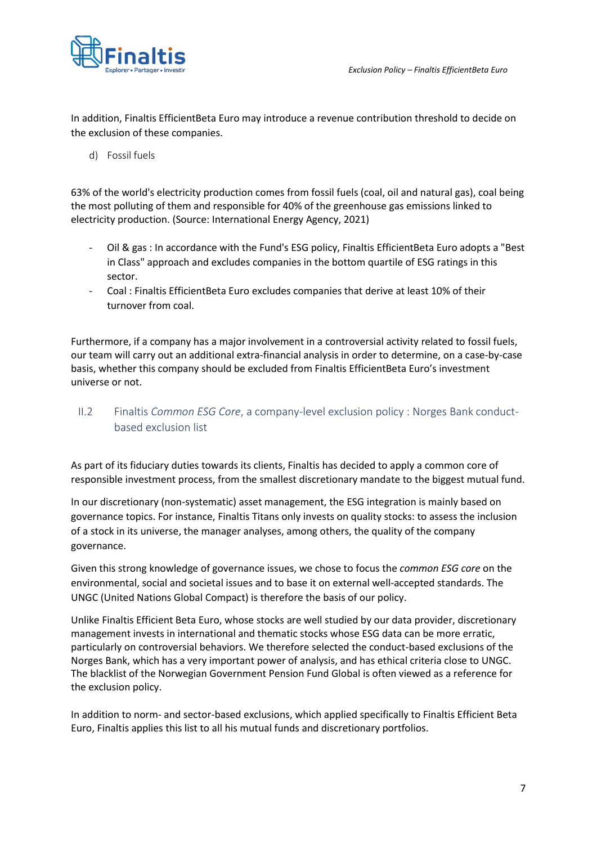

In addition, Finaltis EfficientBeta Euro may introduce a revenue contribution threshold to decide on the exclusion of these companies.

<span id="page-6-0"></span>d) Fossil fuels

63% of the world's electricity production comes from fossil fuels (coal, oil and natural gas), coal being the most polluting of them and responsible for 40% of the greenhouse gas emissions linked to electricity production. (Source: International Energy Agency, 2021)

- Oil & gas : In accordance with the Fund's ESG policy, Finaltis EfficientBeta Euro adopts a "Best in Class" approach and excludes companies in the bottom quartile of ESG ratings in this sector.
- Coal : Finaltis EfficientBeta Euro excludes companies that derive at least 10% of their turnover from coal.

Furthermore, if a company has a major involvement in a controversial activity related to fossil fuels, our team will carry out an additional extra-financial analysis in order to determine, on a case-by-case basis, whether this company should be excluded from Finaltis EfficientBeta Euro's investment universe or not.

<span id="page-6-1"></span>II.2 Finaltis *Common ESG Core*, a company-level exclusion policy : Norges Bank conductbased exclusion list

As part of its fiduciary duties towards its clients, Finaltis has decided to apply a common core of responsible investment process, from the smallest discretionary mandate to the biggest mutual fund.

In our discretionary (non-systematic) asset management, the ESG integration is mainly based on governance topics. For instance, Finaltis Titans only invests on quality stocks: to assess the inclusion of a stock in its universe, the manager analyses, among others, the quality of the company governance.

Given this strong knowledge of governance issues, we chose to focus the *common ESG core* on the environmental, social and societal issues and to base it on external well-accepted standards. The UNGC (United Nations Global Compact) is therefore the basis of our policy.

Unlike Finaltis Efficient Beta Euro, whose stocks are well studied by our data provider, discretionary management invests in international and thematic stocks whose ESG data can be more erratic, particularly on controversial behaviors. We therefore selected the conduct-based exclusions of the Norges Bank, which has a very important power of analysis, and has ethical criteria close to UNGC. The blacklist of the Norwegian Government Pension Fund Global is often viewed as a reference for the exclusion policy.

In addition to norm- and sector-based exclusions, which applied specifically to Finaltis Efficient Beta Euro, Finaltis applies this list to all his mutual funds and discretionary portfolios.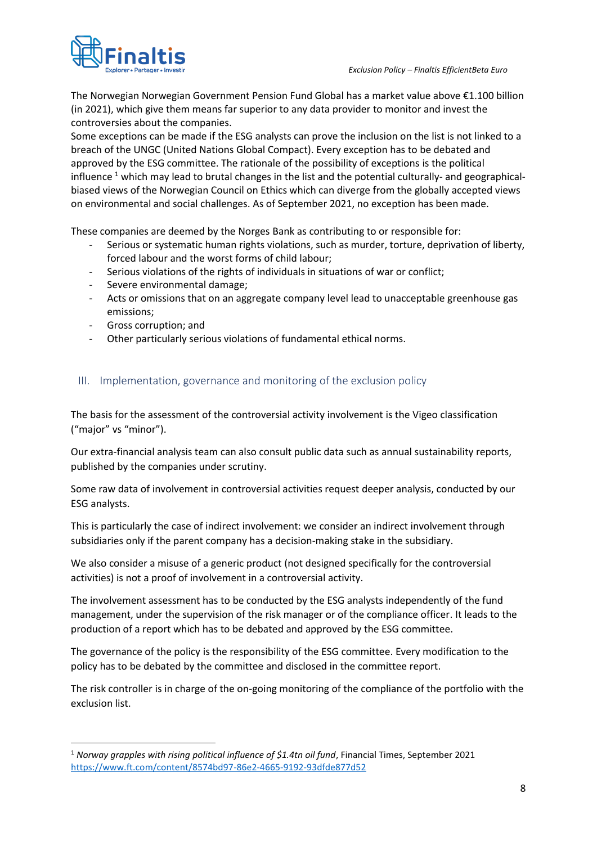

The Norwegian Norwegian Government Pension Fund Global has a market value above €1.100 billion (in 2021), which give them means far superior to any data provider to monitor and invest the controversies about the companies.

Some exceptions can be made if the ESG analysts can prove the inclusion on the list is not linked to a breach of the UNGC (United Nations Global Compact). Every exception has to be debated and approved by the ESG committee. The rationale of the possibility of exceptions is the political influence  $1$  which may lead to brutal changes in the list and the potential culturally- and geographicalbiased views of the Norwegian Council on Ethics which can diverge from the globally accepted views on environmental and social challenges. As of September 2021, no exception has been made.

These companies are deemed by the Norges Bank as contributing to or responsible for:

- Serious or systematic human rights violations, such as murder, torture, deprivation of liberty, forced labour and the worst forms of child labour;
- Serious violations of the rights of individuals in situations of war or conflict;
- Severe environmental damage;
- Acts or omissions that on an aggregate company level lead to unacceptable greenhouse gas emissions;
- Gross corruption; and
- Other particularly serious violations of fundamental ethical norms.

## <span id="page-7-0"></span>III. Implementation, governance and monitoring of the exclusion policy

The basis for the assessment of the controversial activity involvement is the Vigeo classification ("major" vs "minor").

Our extra-financial analysis team can also consult public data such as annual sustainability reports, published by the companies under scrutiny.

Some raw data of involvement in controversial activities request deeper analysis, conducted by our ESG analysts.

This is particularly the case of indirect involvement: we consider an indirect involvement through subsidiaries only if the parent company has a decision-making stake in the subsidiary.

We also consider a misuse of a generic product (not designed specifically for the controversial activities) is not a proof of involvement in a controversial activity.

[The involvement assessment has to be conducted by the ESG analysts independently o](https://www.nbim.no/en/the-fund/responsible-investment/exclusion-of-companies/)f the fund management, under the supervision of the risk manager or of the compliance officer. It leads to the production of a report which has to be debated and approved by the ESG committee.

The governance of the policy is the responsibility of the ESG committee. Every modification to the policy has to be debated by the committee and disclosed in the committee report.

The risk controller is in charge of the on-going monitoring of the compliance of the portfolio with the exclusion list.

<sup>1</sup> *Norway grapples with rising political influence of \$1.4tn oil fund*, Financial Times, September 2021 <https://www.ft.com/content/8574bd97-86e2-4665-9192-93dfde877d52>